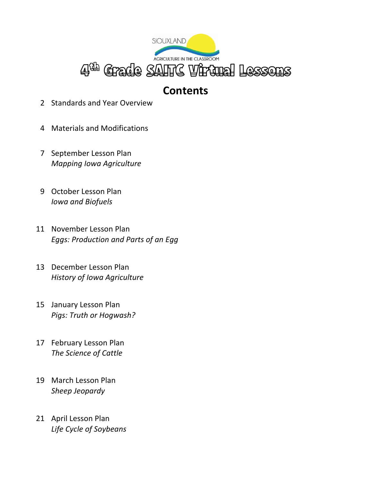

### **Contents**

- 2 Standards and Year Overview
- 4 Materials and Modifications
- 7 September Lesson Plan *Mapping Iowa Agriculture*
- 9 October Lesson Plan *Iowa and Biofuels*
- 11 November Lesson Plan *Eggs: Production and Parts of an Egg*
- 13 December Lesson Plan *History of Iowa Agriculture*
- 15 January Lesson Plan *Pigs: Truth or Hogwash?*
- 17 February Lesson Plan *The Science of Cattle*
- 19 March Lesson Plan *Sheep Jeopardy*
- 21 April Lesson Plan *Life Cycle of Soybeans*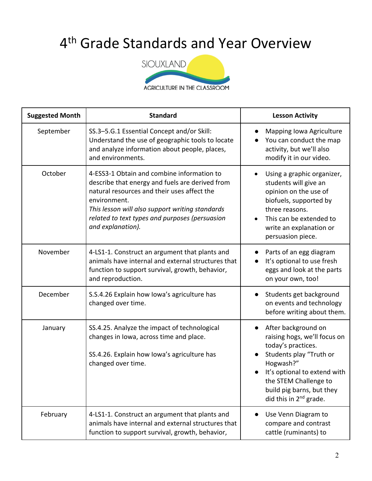## 4<sup>th</sup> Grade Standards and Year Overview



| <b>Suggested Month</b> | <b>Standard</b>                                                                                                                                                                                                                                                                        | <b>Lesson Activity</b>                                                                                                                                                                                                                                     |
|------------------------|----------------------------------------------------------------------------------------------------------------------------------------------------------------------------------------------------------------------------------------------------------------------------------------|------------------------------------------------------------------------------------------------------------------------------------------------------------------------------------------------------------------------------------------------------------|
| September              | SS.3-5.G.1 Essential Concept and/or Skill:<br>Understand the use of geographic tools to locate<br>and analyze information about people, places,<br>and environments.                                                                                                                   | Mapping Iowa Agriculture<br>You can conduct the map<br>activity, but we'll also<br>modify it in our video.                                                                                                                                                 |
| October                | 4-ESS3-1 Obtain and combine information to<br>describe that energy and fuels are derived from<br>natural resources and their uses affect the<br>environment.<br>This lesson will also support writing standards<br>related to text types and purposes (persuasion<br>and explanation). | Using a graphic organizer,<br>students will give an<br>opinion on the use of<br>biofuels, supported by<br>three reasons.<br>This can be extended to<br>write an explanation or<br>persuasion piece.                                                        |
| November               | 4-LS1-1. Construct an argument that plants and<br>animals have internal and external structures that<br>function to support survival, growth, behavior,<br>and reproduction.                                                                                                           | Parts of an egg diagram<br>It's optional to use fresh<br>eggs and look at the parts<br>on your own, too!                                                                                                                                                   |
| December               | S.S.4.26 Explain how lowa's agriculture has<br>changed over time.                                                                                                                                                                                                                      | Students get background<br>on events and technology<br>before writing about them.                                                                                                                                                                          |
| January                | SS.4.25. Analyze the impact of technological<br>changes in Iowa, across time and place.<br>SS.4.26. Explain how lowa's agriculture has<br>changed over time.                                                                                                                           | After background on<br>$\bullet$<br>raising hogs, we'll focus on<br>today's practices.<br>Students play "Truth or<br>Hogwash?"<br>It's optional to extend with<br>the STEM Challenge to<br>build pig barns, but they<br>did this in 2 <sup>nd</sup> grade. |
| February               | 4-LS1-1. Construct an argument that plants and<br>animals have internal and external structures that<br>function to support survival, growth, behavior,                                                                                                                                | Use Venn Diagram to<br>compare and contrast<br>cattle (ruminants) to                                                                                                                                                                                       |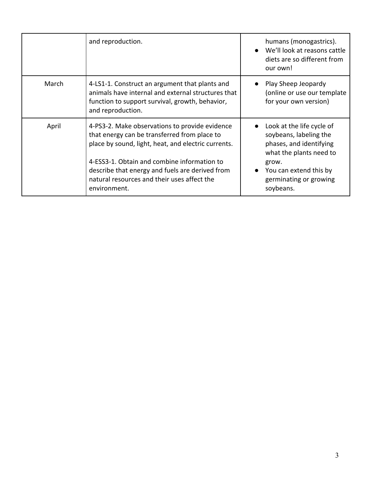|       | and reproduction.                                                                                                                                                                                                                                                                                                      | humans (monogastrics).<br>We'll look at reasons cattle<br>$\bullet$<br>diets are so different from<br>our own!                                                                      |
|-------|------------------------------------------------------------------------------------------------------------------------------------------------------------------------------------------------------------------------------------------------------------------------------------------------------------------------|-------------------------------------------------------------------------------------------------------------------------------------------------------------------------------------|
| March | 4-LS1-1. Construct an argument that plants and<br>animals have internal and external structures that<br>function to support survival, growth, behavior,<br>and reproduction.                                                                                                                                           | Play Sheep Jeopardy<br>(online or use our template<br>for your own version)                                                                                                         |
| April | 4-PS3-2. Make observations to provide evidence<br>that energy can be transferred from place to<br>place by sound, light, heat, and electric currents.<br>4-ESS3-1. Obtain and combine information to<br>describe that energy and fuels are derived from<br>natural resources and their uses affect the<br>environment. | Look at the life cycle of<br>soybeans, labeling the<br>phases, and identifying<br>what the plants need to<br>grow.<br>You can extend this by<br>germinating or growing<br>soybeans. |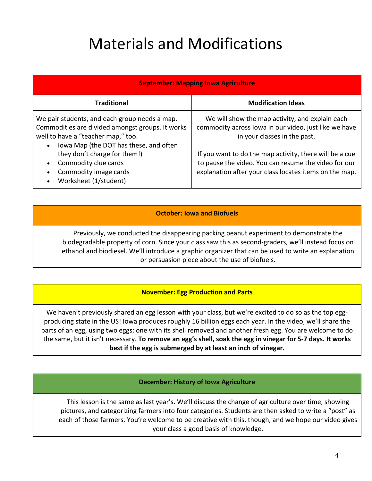# Materials and Modifications

| <b>September: Mapping Iowa Agriculture</b>                                                                                                                                                     |                                                                                                                                                                           |  |
|------------------------------------------------------------------------------------------------------------------------------------------------------------------------------------------------|---------------------------------------------------------------------------------------------------------------------------------------------------------------------------|--|
| <b>Traditional</b>                                                                                                                                                                             | <b>Modification Ideas</b>                                                                                                                                                 |  |
| We pair students, and each group needs a map.<br>Commodities are divided amongst groups. It works<br>well to have a "teacher map," too.<br>Iowa Map (the DOT has these, and often<br>$\bullet$ | We will show the map activity, and explain each<br>commodity across lowa in our video, just like we have<br>in your classes in the past.                                  |  |
| they don't charge for them!)<br>Commodity clue cards<br>$\bullet$<br>Commodity image cards<br>$\bullet$<br>Worksheet (1/student)<br>$\bullet$                                                  | If you want to do the map activity, there will be a cue<br>to pause the video. You can resume the video for our<br>explanation after your class locates items on the map. |  |

#### **October: Iowa and Biofuels**

Previously, we conducted the disappearing packing peanut experiment to demonstrate the biodegradable property of corn. Since your class saw this as second-graders, we'll instead focus on ethanol and biodiesel. We'll introduce a graphic organizer that can be used to write an explanation or persuasion piece about the use of biofuels.

#### **November: Egg Production and Parts**

We haven't previously shared an egg lesson with your class, but we're excited to do so as the top eggproducing state in the US! Iowa produces roughly 16 billion eggs each year. In the video, we'll share the parts of an egg, using two eggs: one with its shell removed and another fresh egg. You are welcome to do the same, but it isn't necessary. **To remove an egg's shell, soak the egg in vinegar for 5-7 days. It works best if the egg is submerged by at least an inch of vinegar.**

#### **December: History of Iowa Agriculture**

This lesson is the same as last year's. We'll discuss the change of agriculture over time, showing pictures, and categorizing farmers into four categories. Students are then asked to write a "post" as each of those farmers. You're welcome to be creative with this, though, and we hope our video gives your class a good basis of knowledge.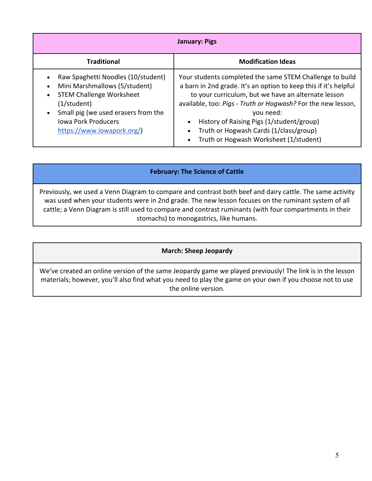| <b>January: Pigs</b>                                                                                                                                                                                                                                                                  |                                                                                                                                                                                                                                                                                                                                                                                                                                          |  |
|---------------------------------------------------------------------------------------------------------------------------------------------------------------------------------------------------------------------------------------------------------------------------------------|------------------------------------------------------------------------------------------------------------------------------------------------------------------------------------------------------------------------------------------------------------------------------------------------------------------------------------------------------------------------------------------------------------------------------------------|--|
| <b>Traditional</b>                                                                                                                                                                                                                                                                    | <b>Modification Ideas</b>                                                                                                                                                                                                                                                                                                                                                                                                                |  |
| Raw Spaghetti Noodles (10/student)<br>$\bullet$<br>Mini Marshmallows (5/student)<br>$\bullet$<br><b>STEM Challenge Worksheet</b><br>$\bullet$<br>$(1/\text{student})$<br>Small pig (we used erasers from the<br>$\bullet$<br><b>Iowa Pork Producers</b><br>https://www.iowapork.org/) | Your students completed the same STEM Challenge to build<br>a barn in 2nd grade. It's an option to keep this if it's helpful<br>to your curriculum, but we have an alternate lesson<br>available, too: Pigs - Truth or Hogwash? For the new lesson,<br>you need:<br>History of Raising Pigs (1/student/group)<br>$\bullet$<br>Truth or Hogwash Cards (1/class/group)<br>$\bullet$<br>Truth or Hogwash Worksheet (1/student)<br>$\bullet$ |  |

#### **February: The Science of Cattle**

Previously, we used a Venn Diagram to compare and contrast both beef and dairy cattle. The same activity was used when your students were in 2nd grade. The new lesson focuses on the ruminant system of all cattle; a Venn Diagram is still used to compare and contrast ruminants (with four compartments in their stomachs) to monogastrics, like humans.

#### **March: Sheep Jeopardy**

We've created an online version of the same Jeopardy game we played previously! The link is in the lesson materials; however, you'll also find what you need to play the game on your own if you choose not to use the online version.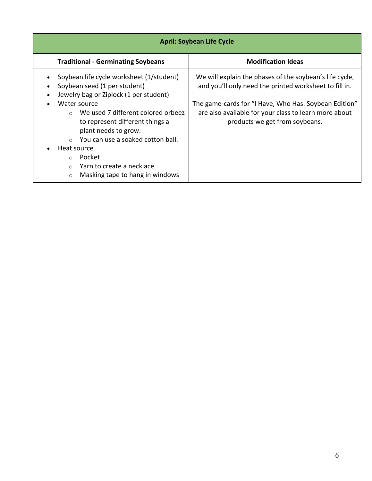| <b>April: Soybean Life Cycle</b>                                                                                                                                                                                                                                                                                                                                                                                                        |                                                                                                                                                                                                                                                                       |  |
|-----------------------------------------------------------------------------------------------------------------------------------------------------------------------------------------------------------------------------------------------------------------------------------------------------------------------------------------------------------------------------------------------------------------------------------------|-----------------------------------------------------------------------------------------------------------------------------------------------------------------------------------------------------------------------------------------------------------------------|--|
| <b>Traditional - Germinating Soybeans</b>                                                                                                                                                                                                                                                                                                                                                                                               | <b>Modification Ideas</b>                                                                                                                                                                                                                                             |  |
| Soybean life cycle worksheet (1/student)<br>Soybean seed (1 per student)<br>Jewelry bag or Ziplock (1 per student)<br>Water source<br>$\bullet$<br>We used 7 different colored orbeez<br>$\cap$<br>to represent different things a<br>plant needs to grow.<br>You can use a soaked cotton ball.<br>$\Omega$<br>Heat source<br>Pocket<br>$\Omega$<br>Yarn to create a necklace<br>$\Omega$<br>Masking tape to hang in windows<br>$\circ$ | We will explain the phases of the soybean's life cycle,<br>and you'll only need the printed worksheet to fill in.<br>The game-cards for "I Have, Who Has: Soybean Edition"<br>are also available for your class to learn more about<br>products we get from soybeans. |  |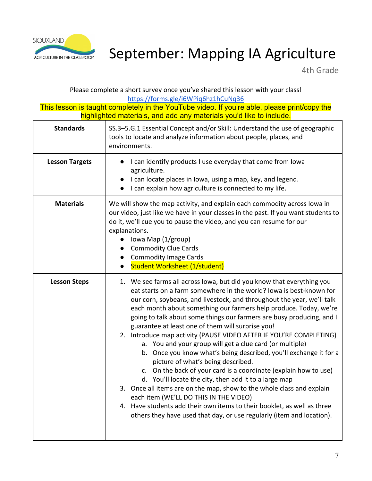

## AGRICULTURE IN THE CLASSROOM September: Mapping IA Agriculture

4th Grade

Please complete a short survey once you've shared this lesson with your class! https://forms.gle/i6WPiq6hz1hCuNq36

| <b>Standards</b>      | SS.3-5.G.1 Essential Concept and/or Skill: Understand the use of geographic<br>tools to locate and analyze information about people, places, and<br>environments.                                                                                                                                                                                                                                                                                                                                                                                                                                                                                                                                                                                                                                                                                                                                                                                                                                                                                                          |
|-----------------------|----------------------------------------------------------------------------------------------------------------------------------------------------------------------------------------------------------------------------------------------------------------------------------------------------------------------------------------------------------------------------------------------------------------------------------------------------------------------------------------------------------------------------------------------------------------------------------------------------------------------------------------------------------------------------------------------------------------------------------------------------------------------------------------------------------------------------------------------------------------------------------------------------------------------------------------------------------------------------------------------------------------------------------------------------------------------------|
| <b>Lesson Targets</b> | I can identify products I use everyday that come from Iowa<br>agriculture.<br>I can locate places in Iowa, using a map, key, and legend.<br>I can explain how agriculture is connected to my life.                                                                                                                                                                                                                                                                                                                                                                                                                                                                                                                                                                                                                                                                                                                                                                                                                                                                         |
| <b>Materials</b>      | We will show the map activity, and explain each commodity across lowa in<br>our video, just like we have in your classes in the past. If you want students to<br>do it, we'll cue you to pause the video, and you can resume for our<br>explanations.<br>lowa Map (1/group)<br><b>Commodity Clue Cards</b><br><b>Commodity Image Cards</b><br><b>Student Worksheet (1/student)</b>                                                                                                                                                                                                                                                                                                                                                                                                                                                                                                                                                                                                                                                                                         |
| <b>Lesson Steps</b>   | 1. We see farms all across lowa, but did you know that everything you<br>eat starts on a farm somewhere in the world? Iowa is best-known for<br>our corn, soybeans, and livestock, and throughout the year, we'll talk<br>each month about something our farmers help produce. Today, we're<br>going to talk about some things our farmers are busy producing, and I<br>guarantee at least one of them will surprise you!<br>2. Introduce map activity (PAUSE VIDEO AFTER IF YOU'RE COMPLETING)<br>a. You and your group will get a clue card (or multiple)<br>b. Once you know what's being described, you'll exchange it for a<br>picture of what's being described.<br>c. On the back of your card is a coordinate (explain how to use)<br>d. You'll locate the city, then add it to a large map<br>3. Once all items are on the map, show to the whole class and explain<br>each item (WE'LL DO THIS IN THE VIDEO)<br>4. Have students add their own items to their booklet, as well as three<br>others they have used that day, or use regularly (item and location). |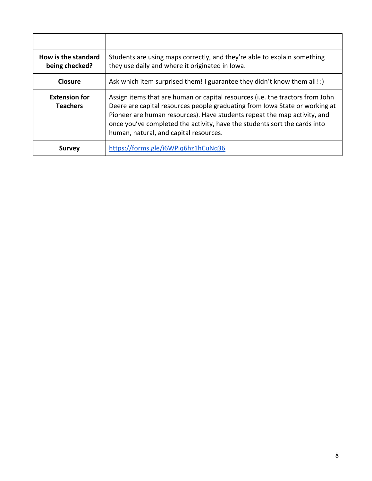| How is the standard<br>being checked?   | Students are using maps correctly, and they're able to explain something<br>they use daily and where it originated in lowa.                                                                                                                                                                                                                                     |
|-----------------------------------------|-----------------------------------------------------------------------------------------------------------------------------------------------------------------------------------------------------------------------------------------------------------------------------------------------------------------------------------------------------------------|
| <b>Closure</b>                          | Ask which item surprised them! I guarantee they didn't know them all! :)                                                                                                                                                                                                                                                                                        |
| <b>Extension for</b><br><b>Teachers</b> | Assign items that are human or capital resources (i.e. the tractors from John<br>Deere are capital resources people graduating from Iowa State or working at<br>Pioneer are human resources). Have students repeat the map activity, and<br>once you've completed the activity, have the students sort the cards into<br>human, natural, and capital resources. |
| <b>Survey</b>                           | https://forms.gle/i6WPig6hz1hCuNq36                                                                                                                                                                                                                                                                                                                             |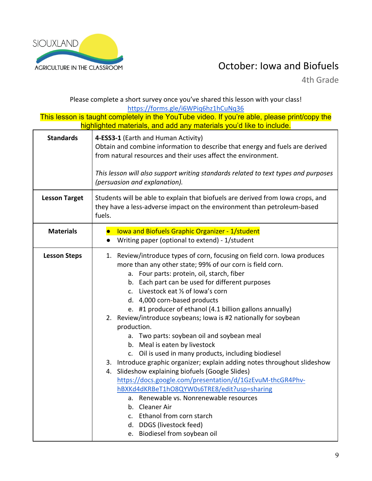

### ACRICULTURE IN THE CLASSROOM **COLLEGATE:** IOWA and Biofuels

4th Grade

Please complete a short survey once you've shared this lesson with your class! https://forms.gle/i6WPiq6hz1hCuNq36

| <b>Standards</b>     | 4-ESS3-1 (Earth and Human Activity)<br>Obtain and combine information to describe that energy and fuels are derived<br>from natural resources and their uses affect the environment.<br>This lesson will also support writing standards related to text types and purposes<br>(persuasion and explanation).                                                                                                                                                                                                                                                                                                                                                                                                                                                                                                                                                                                                                                                                                              |
|----------------------|----------------------------------------------------------------------------------------------------------------------------------------------------------------------------------------------------------------------------------------------------------------------------------------------------------------------------------------------------------------------------------------------------------------------------------------------------------------------------------------------------------------------------------------------------------------------------------------------------------------------------------------------------------------------------------------------------------------------------------------------------------------------------------------------------------------------------------------------------------------------------------------------------------------------------------------------------------------------------------------------------------|
| <b>Lesson Target</b> | Students will be able to explain that biofuels are derived from Iowa crops, and<br>they have a less-adverse impact on the environment than petroleum-based<br>fuels.                                                                                                                                                                                                                                                                                                                                                                                                                                                                                                                                                                                                                                                                                                                                                                                                                                     |
| <b>Materials</b>     | <b>Iowa and Biofuels Graphic Organizer - 1/student</b><br>$\bullet$<br>Writing paper (optional to extend) - 1/student<br>$\bullet$                                                                                                                                                                                                                                                                                                                                                                                                                                                                                                                                                                                                                                                                                                                                                                                                                                                                       |
| <b>Lesson Steps</b>  | 1. Review/introduce types of corn, focusing on field corn. Iowa produces<br>more than any other state; 99% of our corn is field corn.<br>a. Four parts: protein, oil, starch, fiber<br>b. Each part can be used for different purposes<br>c. Livestock eat 1/3 of lowa's corn<br>d. 4,000 corn-based products<br>e. #1 producer of ethanol (4.1 billion gallons annually)<br>2. Review/introduce soybeans; Iowa is #2 nationally for soybean<br>production.<br>a. Two parts: soybean oil and soybean meal<br>b. Meal is eaten by livestock<br>c. Oil is used in many products, including biodiesel<br>3. Introduce graphic organizer; explain adding notes throughout slideshow<br>4. Slideshow explaining biofuels (Google Slides)<br>https://docs.google.com/presentation/d/1GzEvuM-thcGR4Phv-<br>hBXKd4dKRBeT1hO8QYW0s6TRE8/edit?usp=sharing<br>a. Renewable vs. Nonrenewable resources<br>b. Cleaner Air<br>c. Ethanol from corn starch<br>d. DDGS (livestock feed)<br>e. Biodiesel from soybean oil |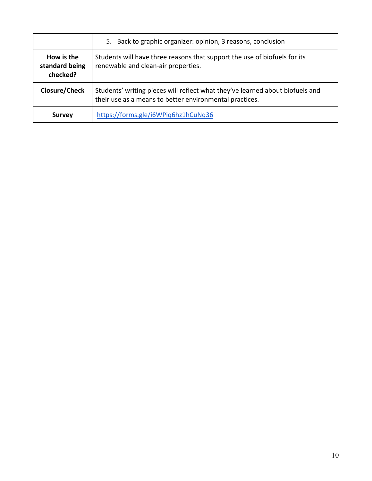|                                          | Back to graphic organizer: opinion, 3 reasons, conclusion<br>5.                                                                          |
|------------------------------------------|------------------------------------------------------------------------------------------------------------------------------------------|
| How is the<br>standard being<br>checked? | Students will have three reasons that support the use of biofuels for its<br>renewable and clean-air properties.                         |
| <b>Closure/Check</b>                     | Students' writing pieces will reflect what they've learned about biofuels and<br>their use as a means to better environmental practices. |
| <b>Survey</b>                            | https://forms.gle/i6WPiq6hz1hCuNq36                                                                                                      |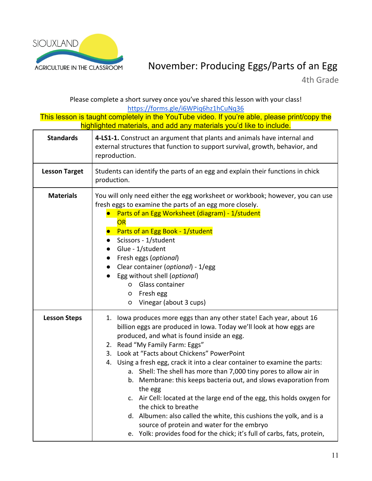

### ACRICULTURE IN THE CLASSROOM MOVember: Producing Eggs/Parts of an Egg

4th Grade

Please complete a short survey once you've shared this lesson with your class! https://forms.gle/i6WPiq6hz1hCuNq36

| <b>Standards</b>     | 4-LS1-1. Construct an argument that plants and animals have internal and<br>external structures that function to support survival, growth, behavior, and<br>reproduction.                                                                                                                                                                                                                                                                                                                                                                                                                                                                                                                                                                                                                                           |
|----------------------|---------------------------------------------------------------------------------------------------------------------------------------------------------------------------------------------------------------------------------------------------------------------------------------------------------------------------------------------------------------------------------------------------------------------------------------------------------------------------------------------------------------------------------------------------------------------------------------------------------------------------------------------------------------------------------------------------------------------------------------------------------------------------------------------------------------------|
| <b>Lesson Target</b> | Students can identify the parts of an egg and explain their functions in chick<br>production.                                                                                                                                                                                                                                                                                                                                                                                                                                                                                                                                                                                                                                                                                                                       |
| <b>Materials</b>     | You will only need either the egg worksheet or workbook; however, you can use<br>fresh eggs to examine the parts of an egg more closely.<br>Parts of an Egg Worksheet (diagram) - 1/student<br>OR<br>Parts of an Egg Book - 1/student<br>Scissors - 1/student<br>Glue - 1/student<br>$\bullet$<br>• Fresh eggs (optional)<br>• Clear container (optional) - 1/egg<br>Egg without shell (optional)<br>o Glass container<br>Fresh egg<br>$\circ$<br>Vinegar (about 3 cups)<br>$\circ$                                                                                                                                                                                                                                                                                                                                 |
| <b>Lesson Steps</b>  | 1. Iowa produces more eggs than any other state! Each year, about 16<br>billion eggs are produced in Iowa. Today we'll look at how eggs are<br>produced, and what is found inside an egg.<br>2. Read "My Family Farm: Eggs"<br>3. Look at "Facts about Chickens" PowerPoint<br>4. Using a fresh egg, crack it into a clear container to examine the parts:<br>a. Shell: The shell has more than 7,000 tiny pores to allow air in<br>b. Membrane: this keeps bacteria out, and slows evaporation from<br>the egg<br>c. Air Cell: located at the large end of the egg, this holds oxygen for<br>the chick to breathe<br>d. Albumen: also called the white, this cushions the yolk, and is a<br>source of protein and water for the embryo<br>e. Yolk: provides food for the chick; it's full of carbs, fats, protein, |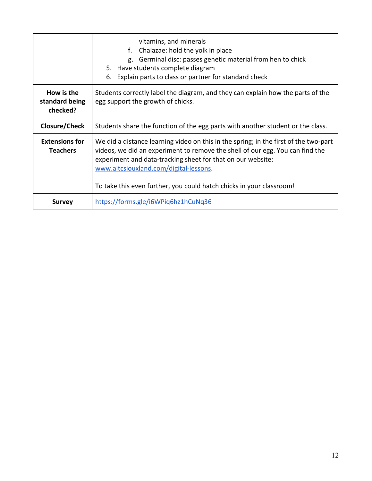|                                          | vitamins, and minerals<br>Chalazae: hold the yolk in place<br>f.<br>Germinal disc: passes genetic material from hen to chick<br>g.<br>5. Have students complete diagram<br>Explain parts to class or partner for standard check<br>6.                                                                                                                  |
|------------------------------------------|--------------------------------------------------------------------------------------------------------------------------------------------------------------------------------------------------------------------------------------------------------------------------------------------------------------------------------------------------------|
| How is the<br>standard being<br>checked? | Students correctly label the diagram, and they can explain how the parts of the<br>egg support the growth of chicks.                                                                                                                                                                                                                                   |
| Closure/Check                            | Students share the function of the egg parts with another student or the class.                                                                                                                                                                                                                                                                        |
| <b>Extensions for</b><br><b>Teachers</b> | We did a distance learning video on this in the spring; in the first of the two-part<br>videos, we did an experiment to remove the shell of our egg. You can find the<br>experiment and data-tracking sheet for that on our website:<br>www.aitcsiouxland.com/digital-lessons.<br>To take this even further, you could hatch chicks in your classroom! |
| <b>Survey</b>                            | https://forms.gle/i6WPiq6hz1hCuNq36                                                                                                                                                                                                                                                                                                                    |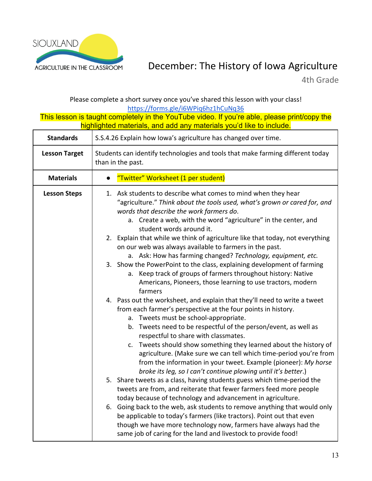

### AGRICULTURE IN THE CLASSROOM December: The History of Iowa Agriculture

4th Grade

Please complete a short survey once you've shared this lesson with your class!

https://forms.gle/i6WPiq6hz1hCuNq36 This lesson is taught completely in the YouTube video. If you're able, please print/copy the highlighted materials, and add any materials you'd like to include. **Standards** S.S.4.26 Explain how Iowa's agriculture has changed over time. **Lesson Target** | Students can identify technologies and tools that make farming different today than in the past. **Materials ●** "Twitter" Worksheet (1 per student) **Lesson Steps** | 1. Ask students to describe what comes to mind when they hear "agriculture." *Think about the tools used, what's grown or cared for, and words that describe the work farmers do*. a. Create a web, with the word "agriculture" in the center, and student words around it. 2. Explain that while we think of agriculture like that today, not everything on our web was always available to farmers in the past. a. Ask: How has farming changed? *Technology, equipment, etc.* 3. Show the PowerPoint to the class, explaining development of farming a. Keep track of groups of farmers throughout history: Native Americans, Pioneers, those learning to use tractors, modern farmers 4. Pass out the worksheet, and explain that they'll need to write a tweet from each farmer's perspective at the four points in history. a. Tweets must be school-appropriate. b. Tweets need to be respectful of the person/event, as well as respectful to share with classmates. c. Tweets should show something they learned about the history of agriculture. (Make sure we can tell which time-period you're from from the information in your tweet. Example (pioneer): *My horse broke its leg, so I can't continue plowing until it's better*.) 5. Share tweets as a class, having students guess which time-period the tweets are from, and reiterate that fewer farmers feed more people today because of technology and advancement in agriculture. 6. Going back to the web, ask students to remove anything that would only be applicable to today's farmers (like tractors). Point out that even though we have more technology now, farmers have always had the

same job of caring for the land and livestock to provide food!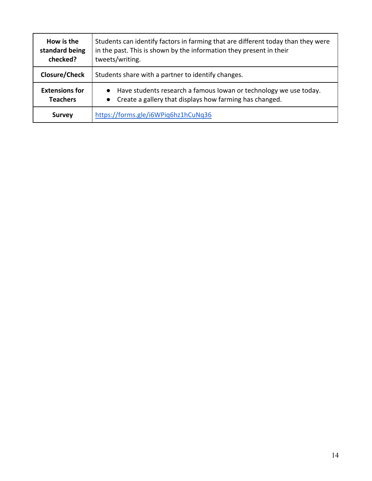| How is the<br>standard being<br>checked? | Students can identify factors in farming that are different today than they were<br>in the past. This is shown by the information they present in their<br>tweets/writing. |
|------------------------------------------|----------------------------------------------------------------------------------------------------------------------------------------------------------------------------|
| Closure/Check                            | Students share with a partner to identify changes.                                                                                                                         |
| <b>Extensions for</b><br><b>Teachers</b> | Have students research a famous lowan or technology we use today.<br>$\bullet$<br>Create a gallery that displays how farming has changed.<br>$\bullet$                     |
| <b>Survey</b>                            | https://forms.gle/i6WPiq6hz1hCuNq36                                                                                                                                        |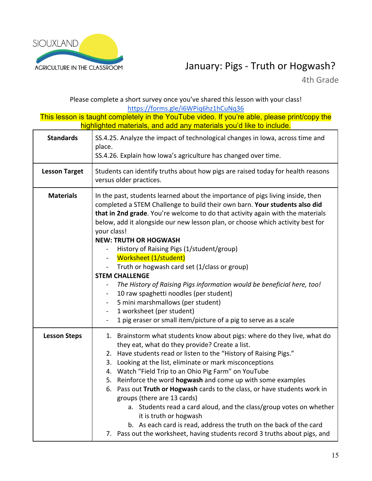

### January: Pigs - Truth or Hogwash?

4th Grade

Please complete a short survey once you've shared this lesson with your class! https://forms.gle/i6WPiq6hz1hCuNq36

| <b>Standards</b>     | SS.4.25. Analyze the impact of technological changes in Iowa, across time and<br>place.<br>SS.4.26. Explain how Iowa's agriculture has changed over time.                                                                                                                                                                                                                                                                                                                                                                                                                                                                                                                                                                                                                                                                   |  |
|----------------------|-----------------------------------------------------------------------------------------------------------------------------------------------------------------------------------------------------------------------------------------------------------------------------------------------------------------------------------------------------------------------------------------------------------------------------------------------------------------------------------------------------------------------------------------------------------------------------------------------------------------------------------------------------------------------------------------------------------------------------------------------------------------------------------------------------------------------------|--|
| <b>Lesson Target</b> | Students can identify truths about how pigs are raised today for health reasons<br>versus older practices.                                                                                                                                                                                                                                                                                                                                                                                                                                                                                                                                                                                                                                                                                                                  |  |
| <b>Materials</b>     | In the past, students learned about the importance of pigs living inside, then<br>completed a STEM Challenge to build their own barn. Your students also did<br>that in 2nd grade. You're welcome to do that activity again with the materials<br>below, add it alongside our new lesson plan, or choose which activity best for<br>your class!<br><b>NEW: TRUTH OR HOGWASH</b><br>History of Raising Pigs (1/student/group)<br>Worksheet (1/student)<br>Truth or hogwash card set (1/class or group)<br><b>STEM CHALLENGE</b><br>The History of Raising Pigs information would be beneficial here, too!<br>10 raw spaghetti noodles (per student)<br>5 mini marshmallows (per student)<br>1 worksheet (per student)<br>$\blacksquare$<br>1 pig eraser or small item/picture of a pig to serve as a scale<br>$\blacksquare$ |  |
| <b>Lesson Steps</b>  | 1. Brainstorm what students know about pigs: where do they live, what do<br>they eat, what do they provide? Create a list.<br>2. Have students read or listen to the "History of Raising Pigs."<br>Looking at the list, eliminate or mark misconceptions<br>3.<br>4. Watch "Field Trip to an Ohio Pig Farm" on YouTube<br>5. Reinforce the word hogwash and come up with some examples<br>6. Pass out Truth or Hogwash cards to the class, or have students work in<br>groups (there are 13 cards)<br>a. Students read a card aloud, and the class/group votes on whether<br>it is truth or hogwash<br>b. As each card is read, address the truth on the back of the card<br>7. Pass out the worksheet, having students record 3 truths about pigs, and                                                                     |  |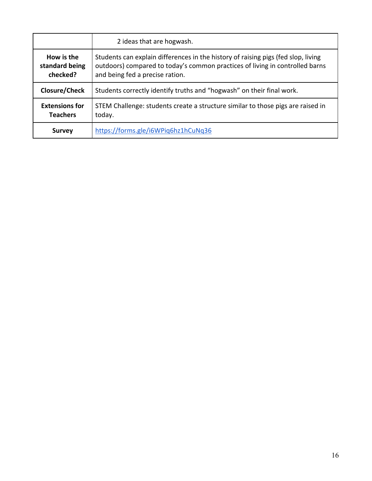|                                          | 2 ideas that are hogwash.                                                                                                                                                                            |  |
|------------------------------------------|------------------------------------------------------------------------------------------------------------------------------------------------------------------------------------------------------|--|
| How is the<br>standard being<br>checked? | Students can explain differences in the history of raising pigs (fed slop, living<br>outdoors) compared to today's common practices of living in controlled barns<br>and being fed a precise ration. |  |
| Closure/Check                            | Students correctly identify truths and "hogwash" on their final work.                                                                                                                                |  |
| <b>Extensions for</b><br><b>Teachers</b> | STEM Challenge: students create a structure similar to those pigs are raised in<br>today.                                                                                                            |  |
| <b>Survey</b>                            | https://forms.gle/i6WPiq6hz1hCuNq36                                                                                                                                                                  |  |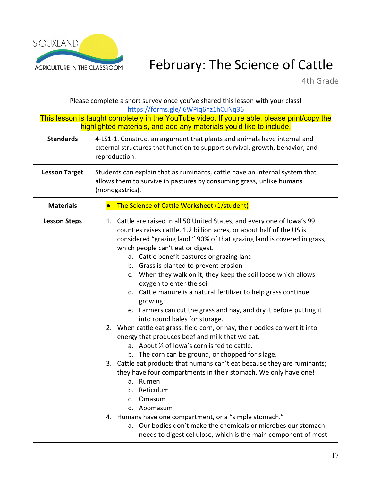

## February: The Science of Cattle

4th Grade

Please complete a short survey once you've shared this lesson with your class! https://forms.gle/i6WPiq6hz1hCuNq36

| <b>Standards</b>     | 4-LS1-1. Construct an argument that plants and animals have internal and<br>external structures that function to support survival, growth, behavior, and<br>reproduction.                                                                                                                                                                                                                                                                                                                                                                                                                                                                                                                                                                                                                                                                                                                                                                                                                                                                                                                                                                                                                                                                                                                                   |  |  |
|----------------------|-------------------------------------------------------------------------------------------------------------------------------------------------------------------------------------------------------------------------------------------------------------------------------------------------------------------------------------------------------------------------------------------------------------------------------------------------------------------------------------------------------------------------------------------------------------------------------------------------------------------------------------------------------------------------------------------------------------------------------------------------------------------------------------------------------------------------------------------------------------------------------------------------------------------------------------------------------------------------------------------------------------------------------------------------------------------------------------------------------------------------------------------------------------------------------------------------------------------------------------------------------------------------------------------------------------|--|--|
| <b>Lesson Target</b> | Students can explain that as ruminants, cattle have an internal system that<br>allows them to survive in pastures by consuming grass, unlike humans<br>(monogastrics).                                                                                                                                                                                                                                                                                                                                                                                                                                                                                                                                                                                                                                                                                                                                                                                                                                                                                                                                                                                                                                                                                                                                      |  |  |
| <b>Materials</b>     | The Science of Cattle Worksheet (1/student)                                                                                                                                                                                                                                                                                                                                                                                                                                                                                                                                                                                                                                                                                                                                                                                                                                                                                                                                                                                                                                                                                                                                                                                                                                                                 |  |  |
| <b>Lesson Steps</b>  | 1. Cattle are raised in all 50 United States, and every one of lowa's 99<br>counties raises cattle. 1.2 billion acres, or about half of the US is<br>considered "grazing land." 90% of that grazing land is covered in grass,<br>which people can't eat or digest.<br>a. Cattle benefit pastures or grazing land<br>b. Grass is planted to prevent erosion<br>c. When they walk on it, they keep the soil loose which allows<br>oxygen to enter the soil<br>d. Cattle manure is a natural fertilizer to help grass continue<br>growing<br>e. Farmers can cut the grass and hay, and dry it before putting it<br>into round bales for storage.<br>2. When cattle eat grass, field corn, or hay, their bodies convert it into<br>energy that produces beef and milk that we eat.<br>a. About 1/3 of Iowa's corn is fed to cattle.<br>b. The corn can be ground, or chopped for silage.<br>3. Cattle eat products that humans can't eat because they are ruminants;<br>they have four compartments in their stomach. We only have one!<br>Rumen<br>a.<br>b. Reticulum<br>Omasum<br>$\mathsf{C}$ .<br>d. Abomasum<br>4. Humans have one compartment, or a "simple stomach."<br>a. Our bodies don't make the chemicals or microbes our stomach<br>needs to digest cellulose, which is the main component of most |  |  |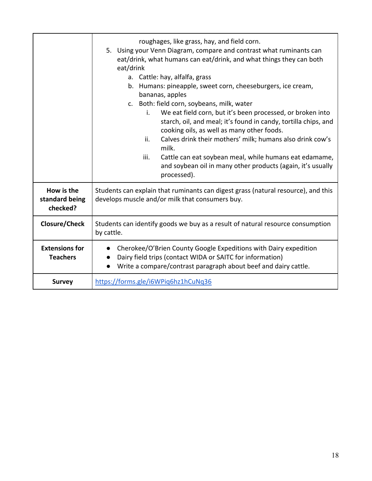|                                          | roughages, like grass, hay, and field corn.<br>5. Using your Venn Diagram, compare and contrast what ruminants can<br>eat/drink, what humans can eat/drink, and what things they can both<br>eat/drink<br>a. Cattle: hay, alfalfa, grass<br>b. Humans: pineapple, sweet corn, cheeseburgers, ice cream,<br>bananas, apples<br>c. Both: field corn, soybeans, milk, water<br>We eat field corn, but it's been processed, or broken into<br>i.<br>starch, oil, and meal; it's found in candy, tortilla chips, and<br>cooking oils, as well as many other foods.<br>Calves drink their mothers' milk; humans also drink cow's<br>ii.<br>milk.<br>iii.<br>Cattle can eat soybean meal, while humans eat edamame,<br>and soybean oil in many other products (again, it's usually<br>processed). |  |
|------------------------------------------|--------------------------------------------------------------------------------------------------------------------------------------------------------------------------------------------------------------------------------------------------------------------------------------------------------------------------------------------------------------------------------------------------------------------------------------------------------------------------------------------------------------------------------------------------------------------------------------------------------------------------------------------------------------------------------------------------------------------------------------------------------------------------------------------|--|
| How is the<br>standard being<br>checked? | Students can explain that ruminants can digest grass (natural resource), and this<br>develops muscle and/or milk that consumers buy.                                                                                                                                                                                                                                                                                                                                                                                                                                                                                                                                                                                                                                                       |  |
| <b>Closure/Check</b>                     | Students can identify goods we buy as a result of natural resource consumption<br>by cattle.                                                                                                                                                                                                                                                                                                                                                                                                                                                                                                                                                                                                                                                                                               |  |
| <b>Extensions for</b><br><b>Teachers</b> | Cherokee/O'Brien County Google Expeditions with Dairy expedition<br>Dairy field trips (contact WIDA or SAITC for information)<br>Write a compare/contrast paragraph about beef and dairy cattle.                                                                                                                                                                                                                                                                                                                                                                                                                                                                                                                                                                                           |  |
| <b>Survey</b>                            | https://forms.gle/i6WPiq6hz1hCuNq36                                                                                                                                                                                                                                                                                                                                                                                                                                                                                                                                                                                                                                                                                                                                                        |  |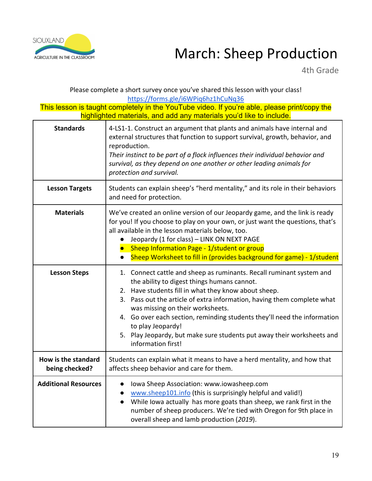

## AGRICULTURE IN THE CLASSROOM March: Sheep Production

4th Grade

Please complete a short survey once you've shared this lesson with your class! https://forms.gle/i6WPiq6hz1hCuNq36

| <b>Standards</b>                      | 4-LS1-1. Construct an argument that plants and animals have internal and<br>external structures that function to support survival, growth, behavior, and<br>reproduction.<br>Their instinct to be part of a flock influences their individual behavior and<br>survival, as they depend on one another or other leading animals for<br>protection and survival.                                                                                                                              |  |
|---------------------------------------|---------------------------------------------------------------------------------------------------------------------------------------------------------------------------------------------------------------------------------------------------------------------------------------------------------------------------------------------------------------------------------------------------------------------------------------------------------------------------------------------|--|
| <b>Lesson Targets</b>                 | Students can explain sheep's "herd mentality," and its role in their behaviors<br>and need for protection.                                                                                                                                                                                                                                                                                                                                                                                  |  |
| <b>Materials</b>                      | We've created an online version of our Jeopardy game, and the link is ready<br>for you! If you choose to play on your own, or just want the questions, that's<br>all available in the lesson materials below, too.<br>Jeopardy (1 for class) - LINK ON NEXT PAGE<br>• Sheep Information Page - 1/student or group<br>Sheep Worksheet to fill in (provides background for game) - 1/student                                                                                                  |  |
| <b>Lesson Steps</b>                   | 1. Connect cattle and sheep as ruminants. Recall ruminant system and<br>the ability to digest things humans cannot.<br>2. Have students fill in what they know about sheep.<br>3. Pass out the article of extra information, having them complete what<br>was missing on their worksheets.<br>4. Go over each section, reminding students they'll need the information<br>to play Jeopardy!<br>5. Play Jeopardy, but make sure students put away their worksheets and<br>information first! |  |
| How is the standard<br>being checked? | Students can explain what it means to have a herd mentality, and how that<br>affects sheep behavior and care for them.                                                                                                                                                                                                                                                                                                                                                                      |  |
| <b>Additional Resources</b>           | Iowa Sheep Association: www.iowasheep.com<br>www.sheep101.info (this is surprisingly helpful and valid!)<br>While Iowa actually has more goats than sheep, we rank first in the<br>$\bullet$<br>number of sheep producers. We're tied with Oregon for 9th place in<br>overall sheep and lamb production (2019).                                                                                                                                                                             |  |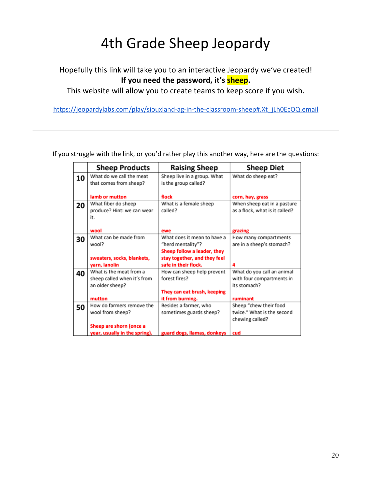## 4th Grade Sheep Jeopardy

### Hopefully this link will take you to an interactive Jeopardy we've created! **If you need the password, it's sheep.**

This website will allow you to create teams to keep score if you wish.

https://jeopardylabs.com/play/siouxland-ag-in-the-classroom-sheep#.Xt\_jLh0EcOQ.email

If you struggle with the link, or you'd rather play this another way, here are the questions:

|    | <b>Sheep Products</b>         | <b>Raising Sheep</b>         | <b>Sheep Diet</b>              |
|----|-------------------------------|------------------------------|--------------------------------|
| 10 | What do we call the meat      | Sheep live in a group. What  | What do sheep eat?             |
|    | that comes from sheep?        | is the group called?         |                                |
|    | lamb or mutton                | flock                        |                                |
|    | What fiber do sheep           | What is a female sheep       | corn, hay, grass               |
| 20 |                               |                              | When sheep eat in a pasture    |
|    | produce? Hint: we can wear    | called?                      | as a flock, what is it called? |
|    | it.                           |                              |                                |
|    |                               |                              |                                |
|    | wool                          | ewe                          | grazing                        |
| 30 | What can be made from         | What does it mean to have a  | How many compartments          |
|    | wool?                         | "herd mentality"?            | are in a sheep's stomach?      |
|    |                               | Sheep follow a leader, they  |                                |
|    | sweaters, socks, blankets,    | stay together, and they feel |                                |
|    | yarn, lanolin                 | safe in their flock.         |                                |
| 40 | What is the meat from a       | How can sheep help prevent   | What do you call an animal     |
|    | sheep called when it's from   | forest fires?                | with four compartments in      |
|    | an older sheep?               |                              | its stomach?                   |
|    |                               | They can eat brush, keeping  |                                |
|    | mutton                        | it from burning.             | ruminant                       |
| 50 | How do farmers remove the     | Besides a farmer, who        | Sheep "chew their food         |
|    | wool from sheep?              | sometimes guards sheep?      | twice." What is the second     |
|    |                               |                              | chewing called?                |
|    | Sheep are shorn (once a       |                              |                                |
|    | year, usually in the spring). | guard dogs, llamas, donkeys  | cud                            |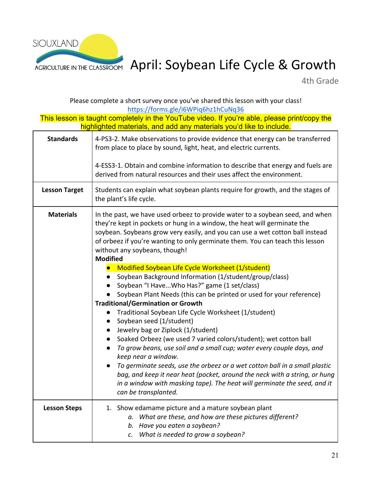

## AGRICULTURE IN THE CLASSROOM April: Soybean Life Cycle & Growth

4th Grade

Please complete a short survey once you've shared this lesson with your class!

| https://forms.gle/i6WPiq6hz1hCuNq36<br>This lesson is taught completely in the YouTube video. If you're able, please print/copy the<br>highlighted materials, and add any materials you'd like to include. |                                                                                                                                                                                                                                                                                                                                                                                                                                                                                                                                                                                                                                                                                                                                                                                                                                                                                                                            |
|------------------------------------------------------------------------------------------------------------------------------------------------------------------------------------------------------------|----------------------------------------------------------------------------------------------------------------------------------------------------------------------------------------------------------------------------------------------------------------------------------------------------------------------------------------------------------------------------------------------------------------------------------------------------------------------------------------------------------------------------------------------------------------------------------------------------------------------------------------------------------------------------------------------------------------------------------------------------------------------------------------------------------------------------------------------------------------------------------------------------------------------------|
| <b>Standards</b>                                                                                                                                                                                           | 4-PS3-2. Make observations to provide evidence that energy can be transferred<br>from place to place by sound, light, heat, and electric currents.                                                                                                                                                                                                                                                                                                                                                                                                                                                                                                                                                                                                                                                                                                                                                                         |
|                                                                                                                                                                                                            | 4-ESS3-1. Obtain and combine information to describe that energy and fuels are<br>derived from natural resources and their uses affect the environment.                                                                                                                                                                                                                                                                                                                                                                                                                                                                                                                                                                                                                                                                                                                                                                    |
| <b>Lesson Target</b>                                                                                                                                                                                       | Students can explain what soybean plants require for growth, and the stages of<br>the plant's life cycle.                                                                                                                                                                                                                                                                                                                                                                                                                                                                                                                                                                                                                                                                                                                                                                                                                  |
| <b>Materials</b>                                                                                                                                                                                           | In the past, we have used orbeez to provide water to a soybean seed, and when<br>they're kept in pockets or hung in a window, the heat will germinate the<br>soybean. Soybeans grow very easily, and you can use a wet cotton ball instead<br>of orbeez if you're wanting to only germinate them. You can teach this lesson<br>without any soybeans, though!<br><b>Modified</b>                                                                                                                                                                                                                                                                                                                                                                                                                                                                                                                                            |
|                                                                                                                                                                                                            | Modified Soybean Life Cycle Worksheet (1/student)<br>Soybean Background Information (1/student/group/class)<br>$\bullet$<br>Soybean "I HaveWho Has?" game (1 set/class)<br>Soybean Plant Needs (this can be printed or used for your reference)<br><b>Traditional/Germination or Growth</b><br>Traditional Soybean Life Cycle Worksheet (1/student)<br>$\bullet$<br>Soybean seed (1/student)<br>$\bullet$<br>Jewelry bag or Ziplock (1/student)<br>$\bullet$<br>Soaked Orbeez (we used 7 varied colors/student); wet cotton ball<br>$\bullet$<br>To grow beans, use soil and a small cup; water every couple days, and<br>$\bullet$<br>keep near a window.<br>To germinate seeds, use the orbeez or a wet cotton ball in a small plastic<br>bag, and keep it near heat (pocket, around the neck with a string, or hung<br>in a window with masking tape). The heat will germinate the seed, and it<br>can be transplanted. |
| <b>Lesson Steps</b>                                                                                                                                                                                        | 1. Show edamame picture and a mature soybean plant<br>What are these, and how are these pictures different?<br>а.<br>Have you eaten a soybean?<br>b.<br>What is needed to grow a soybean?<br>C.                                                                                                                                                                                                                                                                                                                                                                                                                                                                                                                                                                                                                                                                                                                            |